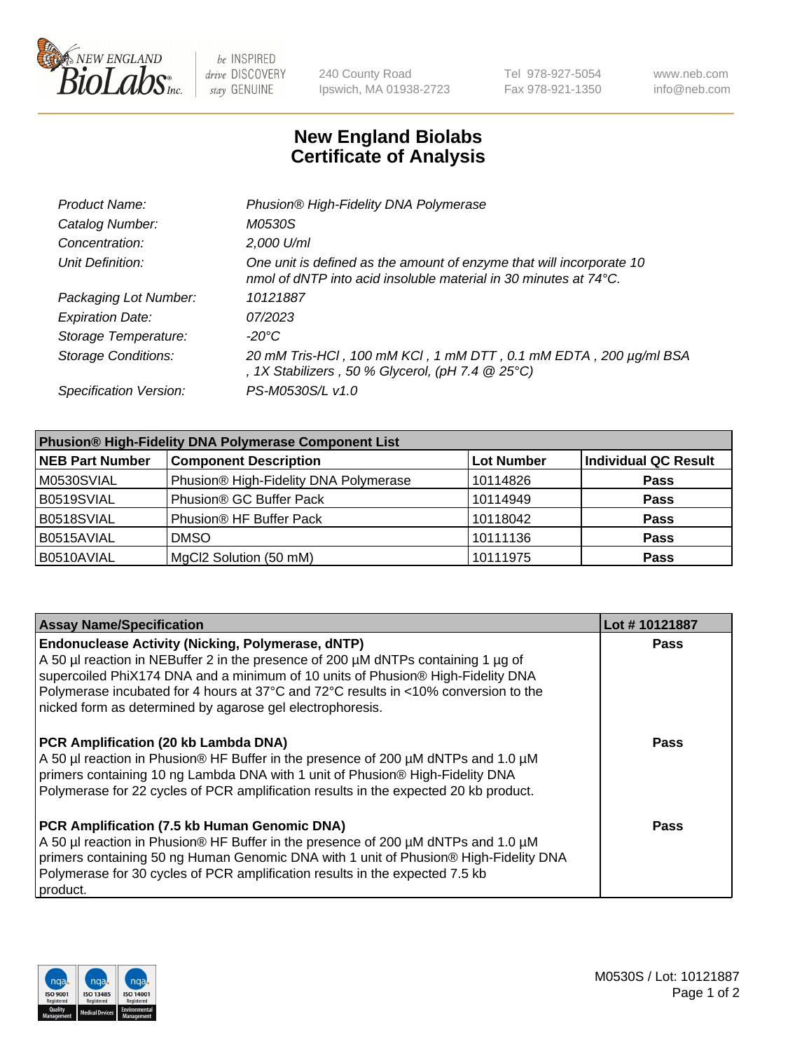

 $be$  INSPIRED drive DISCOVERY stay GENUINE

240 County Road Ipswich, MA 01938-2723 Tel 978-927-5054 Fax 978-921-1350 www.neb.com info@neb.com

## **New England Biolabs Certificate of Analysis**

| Product Name:              | Phusion® High-Fidelity DNA Polymerase                                                                                                              |
|----------------------------|----------------------------------------------------------------------------------------------------------------------------------------------------|
| Catalog Number:            | M0530S                                                                                                                                             |
| Concentration:             | 2,000 U/ml                                                                                                                                         |
| Unit Definition:           | One unit is defined as the amount of enzyme that will incorporate 10<br>nmol of dNTP into acid insoluble material in 30 minutes at $74^{\circ}$ C. |
| Packaging Lot Number:      | 10121887                                                                                                                                           |
| <b>Expiration Date:</b>    | 07/2023                                                                                                                                            |
| Storage Temperature:       | $-20^{\circ}$ C                                                                                                                                    |
| <b>Storage Conditions:</b> | 20 mM Tris-HCl, 100 mM KCl, 1 mM DTT, 0.1 mM EDTA, 200 µg/ml BSA<br>, 1X Stabilizers, 50 % Glycerol, (pH 7.4 $@25°C$ )                             |
| Specification Version:     | PS-M0530S/L v1.0                                                                                                                                   |

| <b>Phusion® High-Fidelity DNA Polymerase Component List</b> |                                       |                   |                             |  |
|-------------------------------------------------------------|---------------------------------------|-------------------|-----------------------------|--|
| <b>NEB Part Number</b>                                      | <b>Component Description</b>          | <b>Lot Number</b> | <b>Individual QC Result</b> |  |
| M0530SVIAL                                                  | Phusion® High-Fidelity DNA Polymerase | 10114826          | <b>Pass</b>                 |  |
| B0519SVIAL                                                  | Phusion® GC Buffer Pack               | 10114949          | <b>Pass</b>                 |  |
| B0518SVIAL                                                  | Phusion® HF Buffer Pack               | 10118042          | <b>Pass</b>                 |  |
| B0515AVIAL                                                  | <b>DMSO</b>                           | 10111136          | <b>Pass</b>                 |  |
| B0510AVIAL                                                  | MgCl2 Solution (50 mM)                | 10111975          | <b>Pass</b>                 |  |

| <b>Assay Name/Specification</b>                                                                                                                                                                                                                                                                                                                                                      | Lot #10121887 |
|--------------------------------------------------------------------------------------------------------------------------------------------------------------------------------------------------------------------------------------------------------------------------------------------------------------------------------------------------------------------------------------|---------------|
| <b>Endonuclease Activity (Nicking, Polymerase, dNTP)</b><br>A 50 µl reaction in NEBuffer 2 in the presence of 200 µM dNTPs containing 1 µg of<br>supercoiled PhiX174 DNA and a minimum of 10 units of Phusion® High-Fidelity DNA<br>Polymerase incubated for 4 hours at 37°C and 72°C results in <10% conversion to the<br>nicked form as determined by agarose gel electrophoresis. | <b>Pass</b>   |
| <b>PCR Amplification (20 kb Lambda DNA)</b><br>A 50 µl reaction in Phusion® HF Buffer in the presence of 200 µM dNTPs and 1.0 µM<br>primers containing 10 ng Lambda DNA with 1 unit of Phusion® High-Fidelity DNA<br>Polymerase for 22 cycles of PCR amplification results in the expected 20 kb product.                                                                            | Pass          |
| PCR Amplification (7.5 kb Human Genomic DNA)<br>A 50 µl reaction in Phusion® HF Buffer in the presence of 200 µM dNTPs and 1.0 µM<br>primers containing 50 ng Human Genomic DNA with 1 unit of Phusion® High-Fidelity DNA<br>Polymerase for 30 cycles of PCR amplification results in the expected 7.5 kb<br>product.                                                                | Pass          |